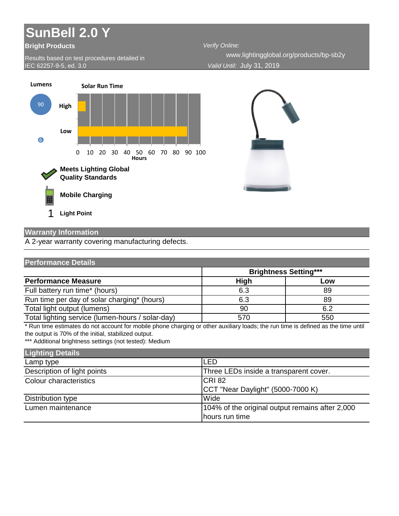## **SunBell 2.0 Y**

## **Bright Products**

Results based on test procedures detailed in IEC 62257-9-5, ed. 3.0

*Verify Online: Valid Until:* July 31, 2019 www.lightingglobal.org/products/bp-sb2y



## **Warranty Information**

A 2-year warranty covering manufacturing defects.

| <b>Performance Details</b>                       |                              |     |
|--------------------------------------------------|------------------------------|-----|
|                                                  | <b>Brightness Setting***</b> |     |
| <b>Performance Measure</b>                       | <b>High</b>                  | Low |
| Full battery run time* (hours)                   | 6.3                          | 89  |
| Run time per day of solar charging* (hours)      | 6.3                          | 89  |
| Total light output (lumens)                      | 90                           | 6.2 |
| Total lighting service (lumen-hours / solar-day) | 570                          | 550 |

\* Run time estimates do not account for mobile phone charging or other auxiliary loads; the run time is defined as the time until the output is 70% of the initial, stabilized output.

\*\*\* Additional brightness settings (not tested): Medium

| <b>Lighting Details</b>     |                                                 |
|-----------------------------|-------------------------------------------------|
| Lamp type                   | <b>LED</b>                                      |
| Description of light points | Three LEDs inside a transparent cover.          |
| Colour characteristics      | <b>CRI</b> 82                                   |
|                             | CCT "Near Daylight" (5000-7000 K)               |
| Distribution type           | Wide                                            |
| Lumen maintenance           | 104% of the original output remains after 2,000 |
|                             | hours run time                                  |